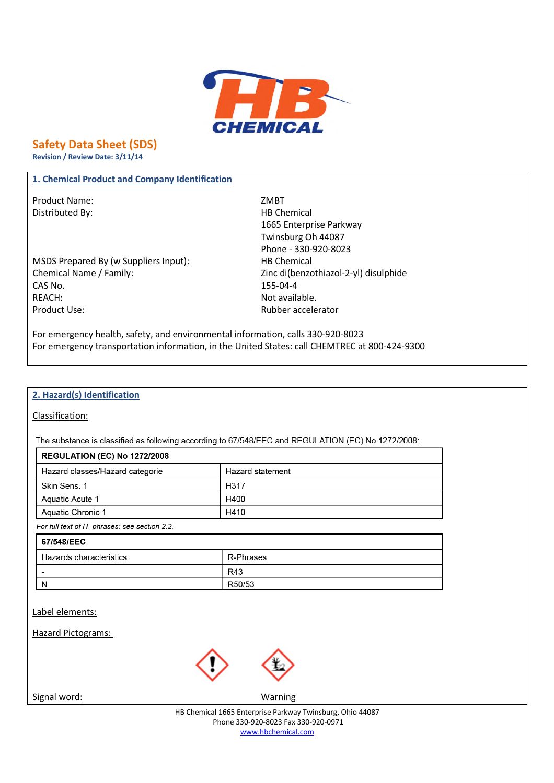

# **Safety Data Sheet (SDS)**

**Revision / Review Date: 3/11/14**

#### **1. Chemical Product and Company Identification**

Product Name: ZMBT Distributed By: Notice and Security and Security HB Chemical

MSDS Prepared By (w Suppliers Input): HB Chemical Chemical Name / Family: Zinc di(benzothiazol-2-yl) disulphide CAS No. 155-04-4 REACH: Not available. Product Use: National Product Use: National Product Use: National Product Ose: National Product Ose: National Product Ose: National Product Ose: National Product Ose: National Product Ose: National Product Ose: National Pr

1665 Enterprise Parkway Twinsburg Oh 44087 Phone - 330-920-8023

For emergency health, safety, and environmental information, calls 330-920-8023 For emergency transportation information, in the United States: call CHEMTREC at 800-424-9300

#### **2. Hazard(s) Identification**

Classification:

The substance is classified as following according to 67/548/EEC and REGULATION (EC) No 1272/2008:

| <b>REGULATION (EC) No 1272/2008</b> |                  |
|-------------------------------------|------------------|
| Hazard classes/Hazard categorie     | Hazard statement |
| Skin Sens, 1                        | H317             |
| Aquatic Acute 1                     | H400             |
| Aquatic Chronic 1                   | H410             |

For full text of H- phrases: see section 2.2.

| 67/548/EEC              |           |
|-------------------------|-----------|
| Hazards characteristics | R-Phrases |
| -                       | R43       |
| N                       | R50/53    |

Label elements:

Hazard Pictograms:



Signal word: Warning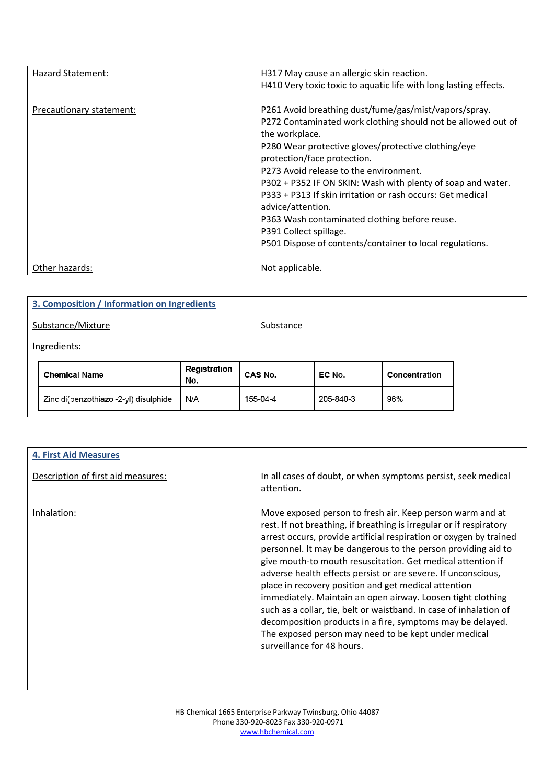| Hazard Statement:        | H317 May cause an allergic skin reaction.<br>H410 Very toxic toxic to aquatic life with long lasting effects.                                                                                                                                                                                                                                                                                                                                                                                                                                                    |
|--------------------------|------------------------------------------------------------------------------------------------------------------------------------------------------------------------------------------------------------------------------------------------------------------------------------------------------------------------------------------------------------------------------------------------------------------------------------------------------------------------------------------------------------------------------------------------------------------|
| Precautionary statement: | P261 Avoid breathing dust/fume/gas/mist/vapors/spray.<br>P272 Contaminated work clothing should not be allowed out of<br>the workplace.<br>P280 Wear protective gloves/protective clothing/eye<br>protection/face protection.<br>P273 Avoid release to the environment.<br>P302 + P352 IF ON SKIN: Wash with plenty of soap and water.<br>P333 + P313 If skin irritation or rash occurs: Get medical<br>advice/attention.<br>P363 Wash contaminated clothing before reuse.<br>P391 Collect spillage.<br>P501 Dispose of contents/container to local regulations. |
| Other hazards:           | Not applicable.                                                                                                                                                                                                                                                                                                                                                                                                                                                                                                                                                  |

| 3. Composition / Information on Ingredients |                                       |                     |           |           |               |
|---------------------------------------------|---------------------------------------|---------------------|-----------|-----------|---------------|
|                                             | Substance/Mixture                     |                     | Substance |           |               |
|                                             | Ingredients:                          |                     |           |           |               |
|                                             | <b>Chemical Name</b>                  | Registration<br>No. | CAS No.   | EC No.    | Concentration |
|                                             | Zinc di(benzothiazol-2-yl) disulphide | N/A                 | 155-04-4  | 205-840-3 | 96%           |
|                                             |                                       |                     |           |           |               |

| <b>4. First Aid Measures</b>       |                                                                                                                                                                                                                                                                                                                                                                                                                                                                                                                                                                                                                                                                                                                                                          |
|------------------------------------|----------------------------------------------------------------------------------------------------------------------------------------------------------------------------------------------------------------------------------------------------------------------------------------------------------------------------------------------------------------------------------------------------------------------------------------------------------------------------------------------------------------------------------------------------------------------------------------------------------------------------------------------------------------------------------------------------------------------------------------------------------|
| Description of first aid measures: | In all cases of doubt, or when symptoms persist, seek medical<br>attention.                                                                                                                                                                                                                                                                                                                                                                                                                                                                                                                                                                                                                                                                              |
| Inhalation:                        | Move exposed person to fresh air. Keep person warm and at<br>rest. If not breathing, if breathing is irregular or if respiratory<br>arrest occurs, provide artificial respiration or oxygen by trained<br>personnel. It may be dangerous to the person providing aid to<br>give mouth-to mouth resuscitation. Get medical attention if<br>adverse health effects persist or are severe. If unconscious,<br>place in recovery position and get medical attention<br>immediately. Maintain an open airway. Loosen tight clothing<br>such as a collar, tie, belt or waistband. In case of inhalation of<br>decomposition products in a fire, symptoms may be delayed.<br>The exposed person may need to be kept under medical<br>surveillance for 48 hours. |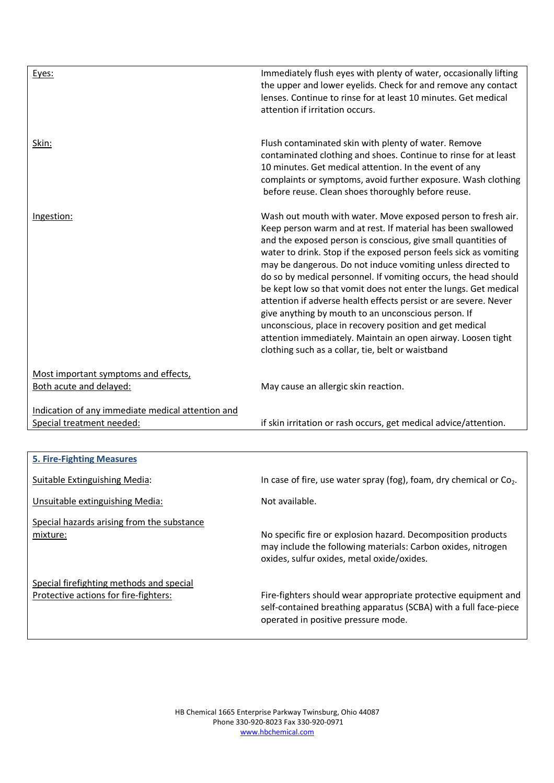| Eyes:                                                                             | Immediately flush eyes with plenty of water, occasionally lifting<br>the upper and lower eyelids. Check for and remove any contact<br>lenses. Continue to rinse for at least 10 minutes. Get medical<br>attention if irritation occurs.                                                                                                                                                                                                                                                                                                                                                                                                                                                                                                                                            |
|-----------------------------------------------------------------------------------|------------------------------------------------------------------------------------------------------------------------------------------------------------------------------------------------------------------------------------------------------------------------------------------------------------------------------------------------------------------------------------------------------------------------------------------------------------------------------------------------------------------------------------------------------------------------------------------------------------------------------------------------------------------------------------------------------------------------------------------------------------------------------------|
| Skin:                                                                             | Flush contaminated skin with plenty of water. Remove<br>contaminated clothing and shoes. Continue to rinse for at least<br>10 minutes. Get medical attention. In the event of any<br>complaints or symptoms, avoid further exposure. Wash clothing<br>before reuse. Clean shoes thoroughly before reuse.                                                                                                                                                                                                                                                                                                                                                                                                                                                                           |
| Ingestion:                                                                        | Wash out mouth with water. Move exposed person to fresh air.<br>Keep person warm and at rest. If material has been swallowed<br>and the exposed person is conscious, give small quantities of<br>water to drink. Stop if the exposed person feels sick as vomiting<br>may be dangerous. Do not induce vomiting unless directed to<br>do so by medical personnel. If vomiting occurs, the head should<br>be kept low so that vomit does not enter the lungs. Get medical<br>attention if adverse health effects persist or are severe. Never<br>give anything by mouth to an unconscious person. If<br>unconscious, place in recovery position and get medical<br>attention immediately. Maintain an open airway. Loosen tight<br>clothing such as a collar, tie, belt or waistband |
| Most important symptoms and effects,<br>Both acute and delayed:                   | May cause an allergic skin reaction.                                                                                                                                                                                                                                                                                                                                                                                                                                                                                                                                                                                                                                                                                                                                               |
| Indication of any immediate medical attention and<br>Special treatment needed:    | if skin irritation or rash occurs, get medical advice/attention.                                                                                                                                                                                                                                                                                                                                                                                                                                                                                                                                                                                                                                                                                                                   |
|                                                                                   |                                                                                                                                                                                                                                                                                                                                                                                                                                                                                                                                                                                                                                                                                                                                                                                    |
| <b>5. Fire-Fighting Measures</b>                                                  |                                                                                                                                                                                                                                                                                                                                                                                                                                                                                                                                                                                                                                                                                                                                                                                    |
| <b>Suitable Extinguishing Media:</b>                                              | In case of fire, use water spray (fog), foam, dry chemical or Co <sub>2</sub> .                                                                                                                                                                                                                                                                                                                                                                                                                                                                                                                                                                                                                                                                                                    |
| Unsuitable extinguishing Media:                                                   | Not available.                                                                                                                                                                                                                                                                                                                                                                                                                                                                                                                                                                                                                                                                                                                                                                     |
| Special hazards arising from the substance<br>mixture:                            | No specific fire or explosion hazard. Decomposition products<br>may include the following materials: Carbon oxides, nitrogen<br>oxides, sulfur oxides, metal oxide/oxides.                                                                                                                                                                                                                                                                                                                                                                                                                                                                                                                                                                                                         |
| Special firefighting methods and special<br>Protective actions for fire-fighters: | Fire-fighters should wear appropriate protective equipment and<br>self-contained breathing apparatus (SCBA) with a full face-piece                                                                                                                                                                                                                                                                                                                                                                                                                                                                                                                                                                                                                                                 |

operated in positive pressure mode.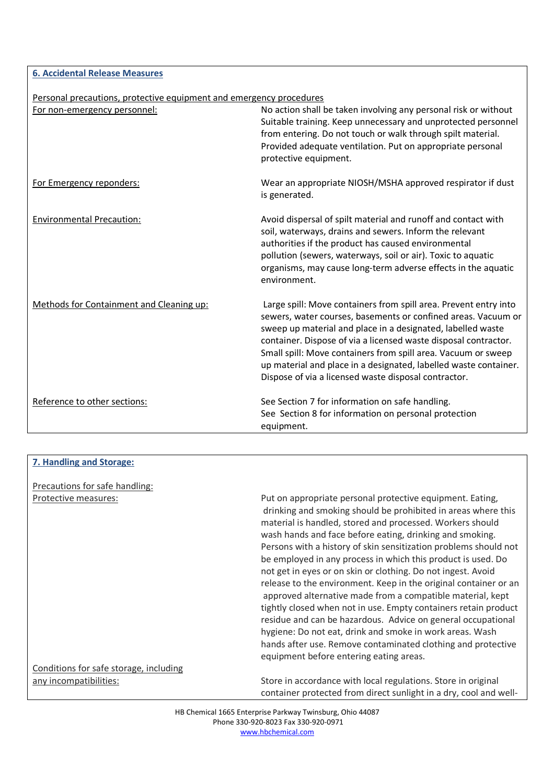**6. Accidental Release Measures**

|  | Personal precautions, protective equipment and emergency procedures |  |  |  |  |
|--|---------------------------------------------------------------------|--|--|--|--|
|--|---------------------------------------------------------------------|--|--|--|--|

| <u>r croonal precaduons, protective equipment and emergency procedures</u><br>For non-emergency personnel: | No action shall be taken involving any personal risk or without                                                                                                                                                                                                                                                                                                                              |
|------------------------------------------------------------------------------------------------------------|----------------------------------------------------------------------------------------------------------------------------------------------------------------------------------------------------------------------------------------------------------------------------------------------------------------------------------------------------------------------------------------------|
|                                                                                                            | Suitable training. Keep unnecessary and unprotected personnel                                                                                                                                                                                                                                                                                                                                |
|                                                                                                            | from entering. Do not touch or walk through spilt material.                                                                                                                                                                                                                                                                                                                                  |
|                                                                                                            | Provided adequate ventilation. Put on appropriate personal                                                                                                                                                                                                                                                                                                                                   |
|                                                                                                            | protective equipment.                                                                                                                                                                                                                                                                                                                                                                        |
| For Emergency reponders:                                                                                   | Wear an appropriate NIOSH/MSHA approved respirator if dust<br>is generated.                                                                                                                                                                                                                                                                                                                  |
| <b>Environmental Precaution:</b>                                                                           | Avoid dispersal of spilt material and runoff and contact with<br>soil, waterways, drains and sewers. Inform the relevant<br>authorities if the product has caused environmental<br>pollution (sewers, waterways, soil or air). Toxic to aquatic<br>organisms, may cause long-term adverse effects in the aquatic<br>environment.                                                             |
| Methods for Containment and Cleaning up:                                                                   | Large spill: Move containers from spill area. Prevent entry into                                                                                                                                                                                                                                                                                                                             |
|                                                                                                            | sewers, water courses, basements or confined areas. Vacuum or<br>sweep up material and place in a designated, labelled waste<br>container. Dispose of via a licensed waste disposal contractor.<br>Small spill: Move containers from spill area. Vacuum or sweep<br>up material and place in a designated, labelled waste container.<br>Dispose of via a licensed waste disposal contractor. |
| Reference to other sections:                                                                               | See Section 7 for information on safe handling.                                                                                                                                                                                                                                                                                                                                              |
|                                                                                                            | See Section 8 for information on personal protection<br>equipment.                                                                                                                                                                                                                                                                                                                           |

| 7. Handling and Storage:               |                                                                                                                                                                                                                                                                                                                                                                                                                                                                                                                                                                                                                                                                                                                                                                                                                                                                                                     |
|----------------------------------------|-----------------------------------------------------------------------------------------------------------------------------------------------------------------------------------------------------------------------------------------------------------------------------------------------------------------------------------------------------------------------------------------------------------------------------------------------------------------------------------------------------------------------------------------------------------------------------------------------------------------------------------------------------------------------------------------------------------------------------------------------------------------------------------------------------------------------------------------------------------------------------------------------------|
| <b>Precautions for safe handling:</b>  |                                                                                                                                                                                                                                                                                                                                                                                                                                                                                                                                                                                                                                                                                                                                                                                                                                                                                                     |
| Protective measures:                   | Put on appropriate personal protective equipment. Eating,<br>drinking and smoking should be prohibited in areas where this<br>material is handled, stored and processed. Workers should<br>wash hands and face before eating, drinking and smoking.<br>Persons with a history of skin sensitization problems should not<br>be employed in any process in which this product is used. Do<br>not get in eyes or on skin or clothing. Do not ingest. Avoid<br>release to the environment. Keep in the original container or an<br>approved alternative made from a compatible material, kept<br>tightly closed when not in use. Empty containers retain product<br>residue and can be hazardous. Advice on general occupational<br>hygiene: Do not eat, drink and smoke in work areas. Wash<br>hands after use. Remove contaminated clothing and protective<br>equipment before entering eating areas. |
| Conditions for safe storage, including |                                                                                                                                                                                                                                                                                                                                                                                                                                                                                                                                                                                                                                                                                                                                                                                                                                                                                                     |
| any incompatibilities:                 | Store in accordance with local regulations. Store in original<br>container protected from direct sunlight in a dry, cool and well-                                                                                                                                                                                                                                                                                                                                                                                                                                                                                                                                                                                                                                                                                                                                                                  |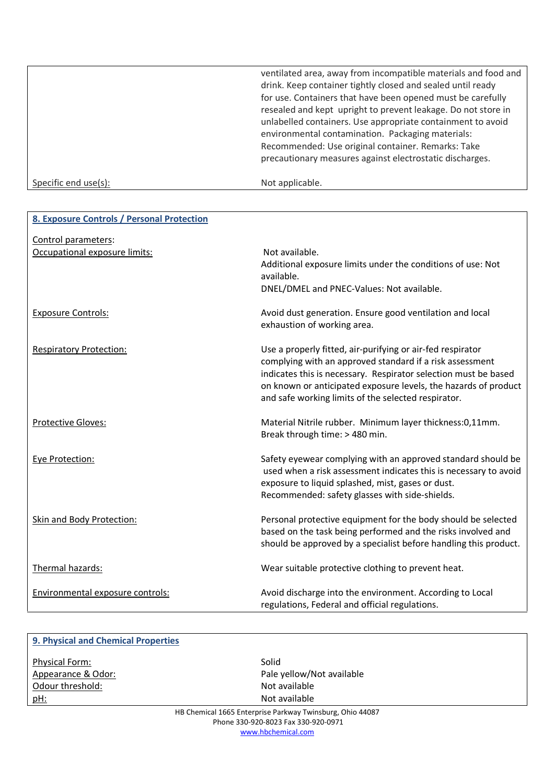ventilated area, away from incompatible materials and food and drink. Keep container tightly closed and sealed until ready for use. Containers that have been opened must be carefully resealed and kept upright to prevent leakage. Do not store in unlabelled containers. Use appropriate containment to avoid environmental contamination. Packaging materials: Recommended: Use original container. Remarks: Take precautionary measures against electrostatic discharges.

Specific end use(s): Not applicable.

| 8. Exposure Controls / Personal Protection           |                                                                                                                                                                                                                                                                                                                     |
|------------------------------------------------------|---------------------------------------------------------------------------------------------------------------------------------------------------------------------------------------------------------------------------------------------------------------------------------------------------------------------|
| Control parameters:<br>Occupational exposure limits: | Not available.<br>Additional exposure limits under the conditions of use: Not<br>available.<br>DNEL/DMEL and PNEC-Values: Not available.                                                                                                                                                                            |
| <b>Exposure Controls:</b>                            | Avoid dust generation. Ensure good ventilation and local<br>exhaustion of working area.                                                                                                                                                                                                                             |
| <b>Respiratory Protection:</b>                       | Use a properly fitted, air-purifying or air-fed respirator<br>complying with an approved standard if a risk assessment<br>indicates this is necessary. Respirator selection must be based<br>on known or anticipated exposure levels, the hazards of product<br>and safe working limits of the selected respirator. |
| <b>Protective Gloves:</b>                            | Material Nitrile rubber. Minimum layer thickness:0,11mm.<br>Break through time: > 480 min.                                                                                                                                                                                                                          |
| Eye Protection:                                      | Safety eyewear complying with an approved standard should be<br>used when a risk assessment indicates this is necessary to avoid<br>exposure to liquid splashed, mist, gases or dust.<br>Recommended: safety glasses with side-shields.                                                                             |
| <b>Skin and Body Protection:</b>                     | Personal protective equipment for the body should be selected<br>based on the task being performed and the risks involved and<br>should be approved by a specialist before handling this product.                                                                                                                   |
| Thermal hazards:                                     | Wear suitable protective clothing to prevent heat.                                                                                                                                                                                                                                                                  |
| Environmental exposure controls:                     | Avoid discharge into the environment. According to Local<br>regulations, Federal and official regulations.                                                                                                                                                                                                          |

| 9. Physical and Chemical Properties |                                                           |  |
|-------------------------------------|-----------------------------------------------------------|--|
| <b>Physical Form:</b>               | Solid                                                     |  |
| Appearance & Odor:                  | Pale yellow/Not available                                 |  |
| Odour threshold:                    | Not available                                             |  |
| <u>pH:</u>                          | Not available                                             |  |
|                                     | HR Chemical 1665 Enternrise Parkway Twinshurg, Ohio 44087 |  |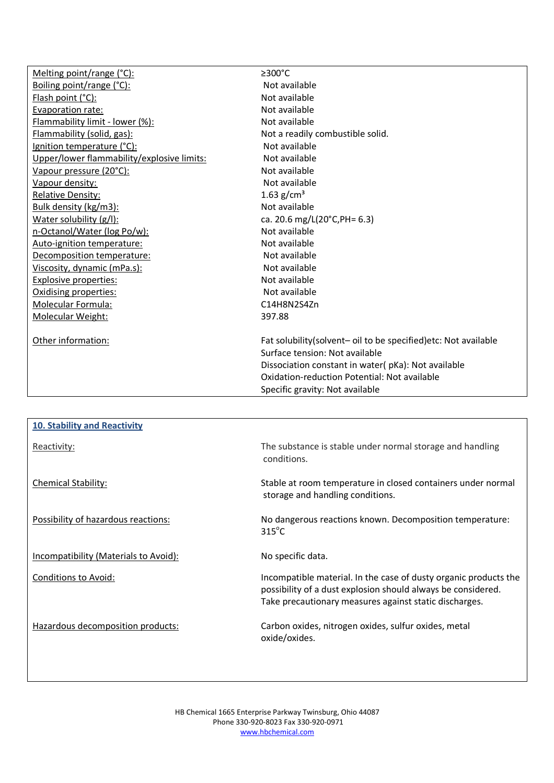| Melting point/range (°C):                  | $\geq$ 300°C                                                     |
|--------------------------------------------|------------------------------------------------------------------|
| Boiling point/range (°C):                  | Not available                                                    |
| Flash point (°C):                          | Not available                                                    |
| Evaporation rate:                          | Not available                                                    |
| Flammability limit - lower (%):            | Not available                                                    |
| Flammability (solid, gas):                 | Not a readily combustible solid.                                 |
| Ignition temperature (°C):                 | Not available                                                    |
| Upper/lower flammability/explosive limits: | Not available                                                    |
| Vapour pressure (20°C):                    | Not available                                                    |
| Vapour density:                            | Not available                                                    |
| <b>Relative Density:</b>                   | 1.63 $g/cm3$                                                     |
| Bulk density (kg/m3):                      | Not available                                                    |
| Water solubility (g/l):                    | ca. 20.6 mg/L(20°C, PH= 6.3)                                     |
| n-Octanol/Water (log Po/w):                | Not available                                                    |
| Auto-ignition temperature:                 | Not available                                                    |
| Decomposition temperature:                 | Not available                                                    |
| Viscosity, dynamic (mPa.s):                | Not available                                                    |
| <b>Explosive properties:</b>               | Not available                                                    |
| Oxidising properties:                      | Not available                                                    |
| Molecular Formula:                         | C14H8N2S4Zn                                                      |
| Molecular Weight:                          | 397.88                                                           |
|                                            |                                                                  |
| Other information:                         | Fat solubility(solvent- oil to be specified) etc: Not available  |
|                                            | Surface tension: Not available                                   |
|                                            | Dissociation constant in water(pKa): Not available               |
|                                            | Oxidation-reduction Potential: Not available                     |
|                                            | Specific gravity: Not available                                  |
|                                            |                                                                  |
|                                            |                                                                  |
| <b>10. Stability and Reactivity</b>        |                                                                  |
|                                            | The substance is stable under normal storage and handling        |
| Reactivity:                                | conditions.                                                      |
|                                            |                                                                  |
|                                            |                                                                  |
| Chemical Stability:                        | Stable at room temperature in closed containers under normal     |
|                                            | storage and handling conditions.                                 |
|                                            |                                                                  |
| Possibility of hazardous reactions:        | No dangerous reactions known. Decomposition temperature:         |
|                                            | $315^{\circ}$ C                                                  |
|                                            |                                                                  |
| Incompatibility (Materials to Avoid):      | No specific data.                                                |
| Conditions to Avoid:                       | Incompatible material. In the case of dusty organic products the |
|                                            | possibility of a dust explosion should always be considered.     |
|                                            |                                                                  |
|                                            | Take precautionary measures against static discharges.           |
|                                            | Carbon oxides, nitrogen oxides, sulfur oxides, metal             |
| Hazardous decomposition products:          |                                                                  |
|                                            | oxide/oxides.                                                    |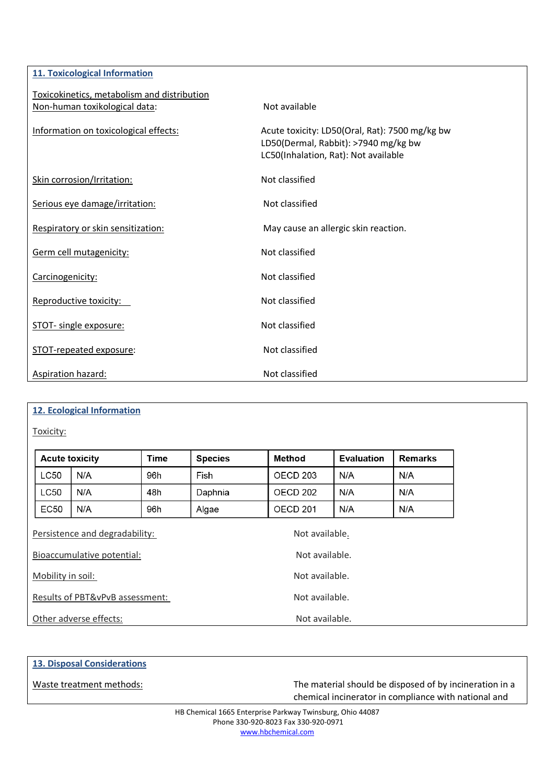| <b>11. Toxicological Information</b>        |                                                                                                                                |
|---------------------------------------------|--------------------------------------------------------------------------------------------------------------------------------|
| Toxicokinetics, metabolism and distribution |                                                                                                                                |
| Non-human toxikological data:               | Not available                                                                                                                  |
| Information on toxicological effects:       | Acute toxicity: LD50(Oral, Rat): 7500 mg/kg bw<br>LD50(Dermal, Rabbit): >7940 mg/kg bw<br>LC50(Inhalation, Rat): Not available |
| Skin corrosion/Irritation:                  | Not classified                                                                                                                 |
| Serious eye damage/irritation:              | Not classified                                                                                                                 |
| Respiratory or skin sensitization:          | May cause an allergic skin reaction.                                                                                           |
| Germ cell mutagenicity:                     | Not classified                                                                                                                 |
| Carcinogenicity:                            | Not classified                                                                                                                 |
| Reproductive toxicity:                      | Not classified                                                                                                                 |
| STOT- single exposure:                      | Not classified                                                                                                                 |
| STOT-repeated exposure:                     | Not classified                                                                                                                 |
| Aspiration hazard:                          | Not classified                                                                                                                 |

# **12. Ecological Information**

Toxicity:

| <b>Acute toxicity</b>               |     | Time | <b>Species</b> | <b>Method</b>       | <b>Evaluation</b> | <b>Remarks</b> |
|-------------------------------------|-----|------|----------------|---------------------|-------------------|----------------|
| LC50                                | N/A | 96h  | Fish           | OECD <sub>203</sub> | N/A               | N/A            |
| LC50                                | N/A | 48h  | Daphnia        | OECD <sub>202</sub> | N/A               | N/A            |
| EC50                                | N/A | 96h  | Algae          | OECD <sub>201</sub> | N/A               | N/A            |
| Persistence and degradability:      |     |      |                | Not available.      |                   |                |
| Bioaccumulative potential:          |     |      | Not available. |                     |                   |                |
| Not available.<br>Mobility in soil: |     |      |                |                     |                   |                |
| Results of PBT&vPvB assessment:     |     |      | Not available. |                     |                   |                |
| Other adverse effects:              |     |      |                | Not available.      |                   |                |

### **13. Disposal Considerations**

Waste treatment methods: Waste treatment methods: The material should be disposed of by incineration in a chemical incinerator in compliance with national and